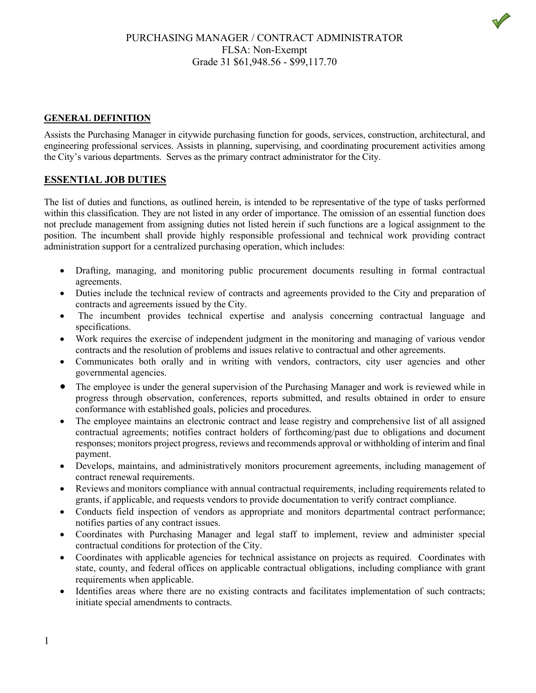## PURCHASING MANAGER / CONTRACT ADMINISTRATOR FLSA: Non-Exempt Grade 31 \$61,948.56 - \$99,117.70

#### **GENERAL DEFINITION**

Assists the Purchasing Manager in citywide purchasing function for goods, services, construction, architectural, and engineering professional services. Assists in planning, supervising, and coordinating procurement activities among the City's various departments. Serves as the primary contract administrator for the City.

#### **ESSENTIAL JOB DUTIES**

The list of duties and functions, as outlined herein, is intended to be representative of the type of tasks performed within this classification. They are not listed in any order of importance. The omission of an essential function does not preclude management from assigning duties not listed herein if such functions are a logical assignment to the position. The incumbent shall provide highly responsible professional and technical work providing contract administration support for a centralized purchasing operation, which includes:

- Drafting, managing, and monitoring public procurement documents resulting in formal contractual agreements.
- Duties include the technical review of contracts and agreements provided to the City and preparation of contracts and agreements issued by the City.
- The incumbent provides technical expertise and analysis concerning contractual language and specifications.
- Work requires the exercise of independent judgment in the monitoring and managing of various vendor contracts and the resolution of problems and issues relative to contractual and other agreements.
- Communicates both orally and in writing with vendors, contractors, city user agencies and other governmental agencies.
- The employee is under the general supervision of the Purchasing Manager and work is reviewed while in progress through observation, conferences, reports submitted, and results obtained in order to ensure conformance with established goals, policies and procedures.
- The employee maintains an electronic contract and lease registry and comprehensive list of all assigned contractual agreements; notifies contract holders of forthcoming/past due to obligations and document responses; monitors project progress, reviews and recommends approval or withholding of interim and final payment.
- Develops, maintains, and administratively monitors procurement agreements, including management of contract renewal requirements.
- Reviews and monitors compliance with annual contractual requirements, including requirements related to grants, if applicable, and requests vendors to provide documentation to verify contract compliance.
- Conducts field inspection of vendors as appropriate and monitors departmental contract performance; notifies parties of any contract issues.
- Coordinates with Purchasing Manager and legal staff to implement, review and administer special contractual conditions for protection of the City.
- Coordinates with applicable agencies for technical assistance on projects as required. Coordinates with state, county, and federal offices on applicable contractual obligations, including compliance with grant requirements when applicable.
- Identifies areas where there are no existing contracts and facilitates implementation of such contracts; initiate special amendments to contracts.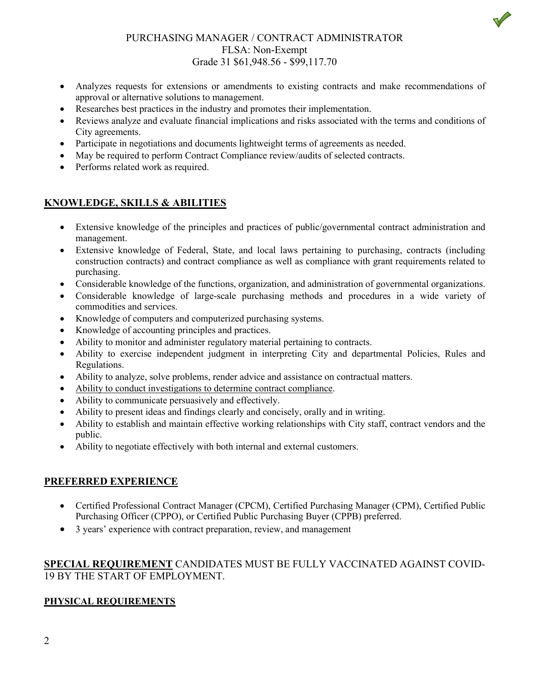

## PURCHASING MANAGER / CONTRACT ADMINISTRATOR FLSA: Non-Exempt Grade 31 \$61,948.56 - \$99,117.70

- Analyzes requests for extensions or amendments to existing contracts and make recommendations of approval or alternative solutions to management.
- Researches best practices in the industry and promotes their implementation.
- Reviews analyze and evaluate financial implications and risks associated with the terms and conditions of City agreements.
- Participate in negotiations and documents lightweight terms of agreements as needed.
- May be required to perform Contract Compliance review/audits of selected contracts.
- Performs related work as required.

## **KNOWLEDGE, SKILLS & ABILITIES**

- Extensive knowledge of the principles and practices of public/governmental contract administration and management.
- Extensive knowledge of Federal, State, and local laws pertaining to purchasing, contracts (including construction contracts) and contract compliance as well as compliance with grant requirements related to purchasing.
- Considerable knowledge of the functions, organization, and administration of governmental organizations.
- Considerable knowledge of large-scale purchasing methods and procedures in a wide variety of commodities and services.
- Knowledge of computers and computerized purchasing systems.
- Knowledge of accounting principles and practices.
- Ability to monitor and administer regulatory material pertaining to contracts.
- Ability to exercise independent judgment in interpreting City and departmental Policies, Rules and Regulations.
- Ability to analyze, solve problems, render advice and assistance on contractual matters.
- Ability to conduct investigations to determine contract compliance.
- Ability to communicate persuasively and effectively.
- Ability to present ideas and findings clearly and concisely, orally and in writing.
- Ability to establish and maintain effective working relationships with City staff, contract vendors and the public.
- Ability to negotiate effectively with both internal and external customers.

## **PREFERRED EXPERIENCE**

- Certified Professional Contract Manager (CPCM), Certified Purchasing Manager (CPM), Certified Public Purchasing Officer (CPPO), or Certified Public Purchasing Buyer (CPPB) preferred.
- 3 years' experience with contract preparation, review, and management

## **SPECIAL REQUIREMENT** CANDIDATES MUST BE FULLY VACCINATED AGAINST COVID-19 BY THE START OF EMPLOYMENT.

# **PHYSICAL REQUIREMENTS**